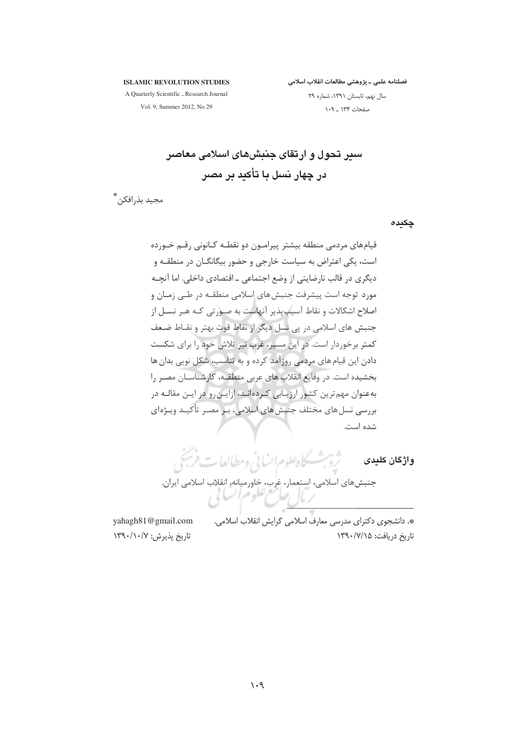فصلنامه علمی ـ پژوهشی مطالعات انقلاب اسلامی

#### **ISLAMIC REVOLUTION STUDIES**

A Quarterly Scientific \_ Research Journal Vol. 9, Summer 2012, No 29

سال نهم، تابستان ١٣٩١، شماره ٢٩ صفحات ۱۳۴ ـ ١٠٩

سیر تحول و ارتقای جنبش۵ای اسلامی معاصر در چهار نسل یا تأکید پر مصر

مجيد بذرافكن ٌ

چکیدہ

قیامهای مردمی منطقه بیشتر پیرامون دو نقطـه کـانونی رقـم خـورده است، یکی اعتراض به سیاست خارجی و حضور بیگانگــان در منطقــه و دیگری در قالب نارضایتی از وضع اجتماعی ـ اقتصادی داخلی. اما آنچـه مورد توجه است پیشرفت جنبش های اسلامی منطقـه در طـی زمـان و اصلاح اشکالات و نقاط آسیبپذیر آنهاست به صـورتی کـه هـر نسـل از جنبش های اسلامی در یی نسل دیگر از نقاط قوت بهتر و نقـاط ضـعف کمتر برخوردار است. در این مسیر، غرب نیز تلاش خود را برای شکست دادن این قیام های مردمی روزآمد کرده و به تناسب، شکل نویی بدان ها بخشیده است. در وقایع انقلاب های عربی منطقـه، کارشناسـان مصـر را بهعنوان مهم ترین کشور ارزیـابی کـردهانـد، ازایـن٫و در ایـن مقالـه در بررسی نسل های مختلف جنبش های اسلامی، بـر مصـر تأکیــد ویــژهای شده است.

وا**ذكان كليدى مستحجمة ش**كاه علوم السائي ومطالعات فرنيخ

\*. دانشجوی دکترای مدرسی معارف اسلامی گرایش انقلاب اسلامی. تاریخ دریافت: ۱۳۹۰/۷/۱۵

yahagh81@gmail.com تاريخ يذيرش: ١٣٩٠/١٠/٧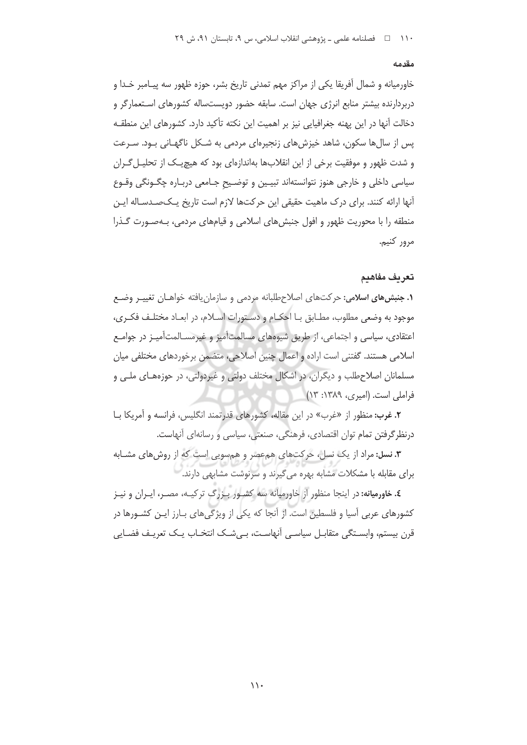#### مقدمه

خاورميانه و شمال آفريقا يكي از مراكز مهم تمدني تاريخ بشر، حوزه ظهور سه پيـامبر خـدا و دربردارنده بیشتر منابع انرژی جهان است. سابقه حضور دویستساله کشورهای اسـتعمارگر و دخالت آنها در این یهنه جغرافیایی نیز بر اهمیت این نکته تأکید دارد. کشورهای این منطقـه یس از سال ها سکون، شاهد خیزش های زنجیرهای مردمی به شـکل ناگهـانی بـود. سـرعت و شدت ظهور و موفقیت برخی از این انقلابها بهاندازهای بود که هیچ یک از تحلیـل گـران سیاسی داخلی و خارجی هنوز نتوانستهاند تبیـین و توضـیح جـامعی دربـاره چگـونگی وقـوع آنها ارائه کنند. برای درک ماهیت حقیقی این حرکتها لازم است تاریخ یـک=صـدسـاله ایـن منطقه را با محوریت ظهور و افول جنبشهای اسلامی و قیامهای مردمی، بـهصـورت گـذرا مرور كنيم.

#### تعريف مفاهدم

**۱. جنبش های اسلامی:** حرکتهای اصلاحطلبانه مردمی و سازمان یافته خواهـان تغییـر وضـع موجود به وضعي مطلوب، مطـابق بـا احكــام و دسـتورات اســلام، در ابعــاد مختلـف فكــرى، اعتقادی، سیاسی و اجتماعی، از طریق شیوههای مسالمتآمیز و غیرمسـالمتآمیـز در جوامـع اسلامی هستند. گفتنی است اراده و اعمال چنین اصلاحی، متضمن برخوردهای مختلفی میان مسلمانان اصلاحطلب و دیگران، در اشکال مختلف دولتی و غیردولتی، در حوزههـای ملـی و فراملی است. (امیری، ۱۳۸۹: ۱۳)

**٢. غرب:** منظور از «غرب» در این مقاله، کشورهای قدرتمند انگلیس، فرانسه و آمریکا بـا درنظرگرفتن تمام توان اقتصادی، فرهنگی، صنعتی، سیاسی و رسانهای آنهاست.

**۳. نسل:** مراد از یک نسل، حرکتهای همعصر و همسویی است که از روشهای مشـابه برای مقابله با مشکلات مشابه بهره می گیرند و سرنوشت مشابهی دارند.

٤. خاورمیانه: در اینجا منظور از خاورمیانه سه کشـور بـزرگ ترکیـه، مصـر، ایـران و نیـز کشورهای عربی آسیا و فلسطین است. از آنجا که یکی از ویژگی های بـارز ایـن کشـورها در قرن بیستم، وابسـتگی متقابـل سیاسـی آنهاسـت، بـی۵شـک انتخـاب یـک تعریـف فضـایی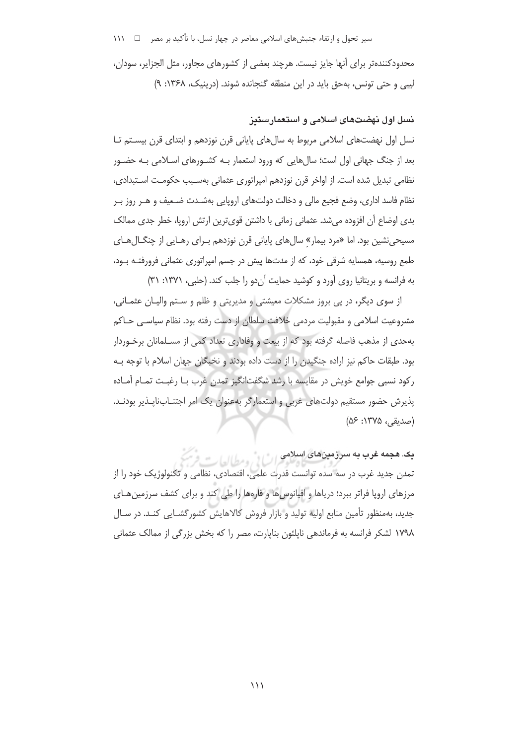سیر تحول و ارتقاء جنبشهای اسلامی معاصر در چهار نسل، با تأکید بر مصر د اس ١١١

محدودکنندهتر برای آنها جایز نیست. هرچند بعضی از کشورهای مجاور، مثل الجزایر، سودان، ليبي و حتى تونس، به حق بايد در اين منطقه گنجانده شوند. (درينيک، ۱۳۶۸: ۹)

#### نسل اول نهضتهای اسلامی و استعمارستیز

نسل اول نهضتهای اسلامی مربوط به سال های پایانی قرن نوزدهم و ابتدای قرن بیسـتم تـا بعد از جنگ جهانی اول است؛ سالهایی که ورود استعمار بـه کشـورهای اسـلامی بـه حضـور نظامی تبدیل شده است. از اواخر قرن نوزدهم امیراتوری عثمانی بهسـبب حکومـت اسـتبدادی، نظام فاسد اداری، وضع فجیع مالی و دخالت دولتهای اروپایی بهشـدت ضـعیف و هـر روز بـر بدی اوضاع آن افزوده می شد. عثمانی زمانی با داشتن قوی ترین ارتش اروپا، خطر جدی ممالک مسیحی نشین بود. اما «مرد بیمار» سال های پایانی قرن نوزدهم بـرای رهـایی از چنگـال *ه*ـای طمع روسیه، همسایه شرقی خود، که از مدتها پیش در جسم امپراتوری عثمانی فرورفتـه بـود، به فرانسه و بریتانیا روی آورد و کوشید حمایت آن دو را جلب کند. (حلبی، ۱۳۷۱: ۳۱)

از سوی دیگر، در پی بروز مشکلات معیشتی و مدیریتی و ظلم و ستم والیان عثمانی، مشروعیت اسلامی و مقبولیت مردمی خلافت سلطان از دست رفته بود. نظام سیاسـی حـاکم بهحدی از مذهب فاصله گرفته بود که از بیعت و وفاداری تعداد کمی از مسلمانان برخـوردار بود. طبقات حاکم نیز اراده جنگیدن را از دست داده بودند و نخبگان جهان اسلام با توجه بـه رکود نسبی جوامع خویش در مقایسه با رشد شگفتانگیز تمدن غرب بـا رغبـت تمـام آمـاده پذیرش حضور مستقیم دولتهای غربی و استعمار گر بهعنوان یک امر اجتنـابiلیـذیر بودنـد. (صديقى، ١٣٧۵: ۵۶)

یک. هجمه غرب به سرزمینهای اسلامی اسلامی استفادها تمدن جدید غرب در سه سده توانست قدرت علمی، اقتصادی، نظامی و تکنولوژیک خود را از مرزهای اروپا فراتر ببرد؛ دریاها و اقیانوس ها و قارهها را طی کند و برای کشف سرزمین هـای جدید، بهمنظور تأمین منابع اولیه تولید و بازار فروش کالاهایش کشورگشـایی کنـد. در سـال ۱۷۹۸ لشکر فرانسه به فرماندهی ناپلئون بنایارت، مصر را که بخش بزرگی از ممالک عثمانی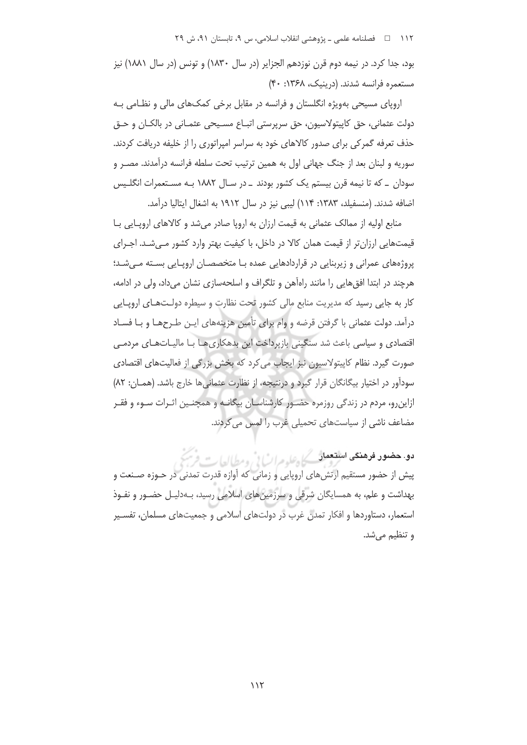بود، جدا کرد. در نیمه دوم قرن نوزدهم الجزایر (در سال ۱۸۳۰) و تونس (در سال ۱۸۸۱) نیز مستعمره فرانسه شدند. (درینیک، ۱۳۶۸: ۴۰)

اروپای مسیحی بهویژه انگلستان و فرانسه در مقابل برخی کمک&ای مالی و نظـامی بـه دولت عثماني، حق کاپيتولاسيون، حق سرپرستي اتبـاع مسـيحي عثمـاني در بالکـان و حـق حذف تعرفه گمرکی برای صدور کالاهای خود به سراسر امپراتوری را از خلیفه دریافت کردند. سوریه و لبنان بعد از جنگ جهانی اول به همین ترتیب تحت سلطه فرانسه درآمدند. مصـر و سودان \_ که تا نیمه قرن بیستم یک کشور بودند \_ در سـال ۱۸۸۲ بـه مسـتعمرات انگلـیس اضافه شدند. (منسفیلد، ۱۳۸۳: ۱۱۴) لیبی نیز در سال ۱۹۱۲ به اشغال ایتالیا درآمد.

منابع اولیه از ممالک عثمانی به قیمت ارزان به اروپا صادر می شد و کالاهای اروپایی بـا قیمتهایی ارزانتر از قیمت همان کالا در داخل، با کیفیت بهتر وارد کشور میشد. اجـرای پروژههای عمرانی و زیربنایی در قراردادهایی عمده بـا متخصصـان اروپـایی بسـته مـی شـد؛ هرچند در ابتدا افق هایی را مانند راهآهن و تلگراف و اسلحهسازی نشان میداد، ولی در ادامه، کار به جایی رسید که مدیریت منابع مالی کشور تحت نظارت و سیطره دولتهای اروپایی درآمد. دولت عثمانی با گرفتن قرضه و وام برای تأمین هزینههای ایـن طـرحهـا و بـا فسـاد اقتصادی و سیاسی باعث شد سنگینی بازپرداخت این بدهکاریهـا بـا مالیـاتهـای مردمـی صورت گیرد. نظام کاپیتولاسیون نیز ایجاب می کرد که بخش بزرگی از فعالیتهای اقتصادی سودآور در اختیار بیگانگان قرار گیرد و درنتیجه، از نظارت عثمانی ها خارج باشد. (همـان: ۸۲) ازاین٫و، مردم در زندگی ٫وزمره حضـور کارشناسـان بیگانـه و همچنـین اثـرات سـوء و فقـر مضاعف ناشی از سیاستهای تحمیلی غرب را لمس می کردند.

دو. حضور فرهنگی استعمار کے علیہ مرات فی روح کالعات پیش از حضور مستقیم ارتشهای اروپایی و زمانی که آوازه قدرت تمدنی در حـوزه صـنعت و بهداشت و علم، به همسایگان شرقی و سرزمین های اسلامی رسید، بـهدلیـل حضـور و نفـوذ استعمار، دستاوردها و افکار تمدن غرب در دولتهای اسلامی و جمعیتهای مسلمان، تفسیر وتنظيم مي شد.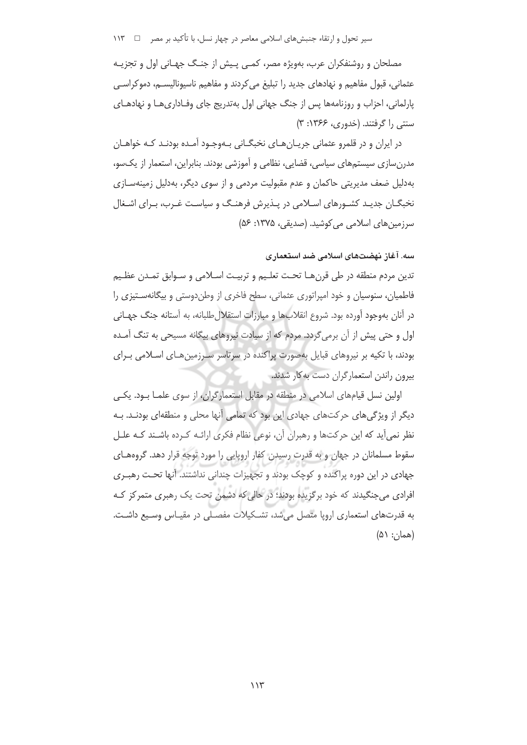مصلحان و روشنفکران عرب، بهویژه مصر، کمبی پیش از جنـگ جهـانی اول و تجزیـه عثماني، قبول مفاهيم و نهادهاي جديد را تبليغ مي كردند و مفاهيم ناسيوناليســم، دموكراســي پارلمانی، احزاب و روزنامهها پس از جنگ جهانی اول بهتدریج جای وفـاداری هـا و نهادهـای سنتی را گرفتند. (خدوری، ۱۳۶۶: ۳)

در ایران و در قلمرو عثمانی جریـانهـای نخبگـانی بـهوجـود آمـده بودنـد کـه خواهـان مدرنسازی سیستمهای سیاسی، قضایی، نظامی و آموزشی بودند. بنابراین، استعمار از یکسو، بهدلیل ضعف مدیریتی حاکمان و عدم مقبولیت مردمی و از سوی دیگر، بهدلیل زمینهسـازی نخبگــان جدیــد کشــورهای اســلامی در پــذیرش فرهنــگ و سیاسـت غــرب، بــرای اشــغال سرزمینهای اسلامی می کوشید. (صدیقی، ۱۳۷۵: ۵۶)

سه. آغاز نهضتهای اسلامی ضد استعماری

تدين مردم منطقه در طي قرنهـا تحـت تعلـيم و تربيـت اسـلامي و سـوابق تمـدن عظـيم فاطمیان، سنوسیان و خود امیراتوری عثمانی، سطح فاخری از وطن(دوستی و بیگانهسـتیزی را در آنان بهوجود آورده بود. شروع انقلابها و مبارزات استقلال طلبانه، به آستانه جنگ جهـانی اول و حتی پیش از آن برمی گردد. مردم که از سیادت نیروهای بیگانه مسیحی به تنگ آمـده بودند، با تکیه بر نیروهای قبایل بهصورت پراکنده در سرتاسر سـرزمینهـای اسـلامی بـرای بیرون راندن استعمارگران دست به کار شدند.

اولین نسل قیامهای اسلامی در منطقه در مقابل استعمارگران، از سوی علمـا بـود. یکـی دیگر از ویژگی های حرکتهای جهادی این بود که تمامی آنها محلی و منطقهای بودنـد. بـه نظر نمی آید که این حرکتها و رهبران آن، نوعی نظام فکری ارائـه کـرده باشـند کـه علـل سقوط مسلمانان در جهان و به قدرت رسیدن کفار اروپایی را مورد توجه قرار دهد. گروههای جهادی در این دوره پراکنده و کوچک بودند و تجهیزات چندانی نداشتند. آنها تحـت رهبـری افرادی میجنگیدند که خود برگزیده بودند؛ در حالی که دشمن تحت یک رهبری متمرکز کـه به قدرتهای استعماری اروپا متصل میشد، تشکیلات مفصلی در مقیاس وسیع داشت. (همان: ۵۱)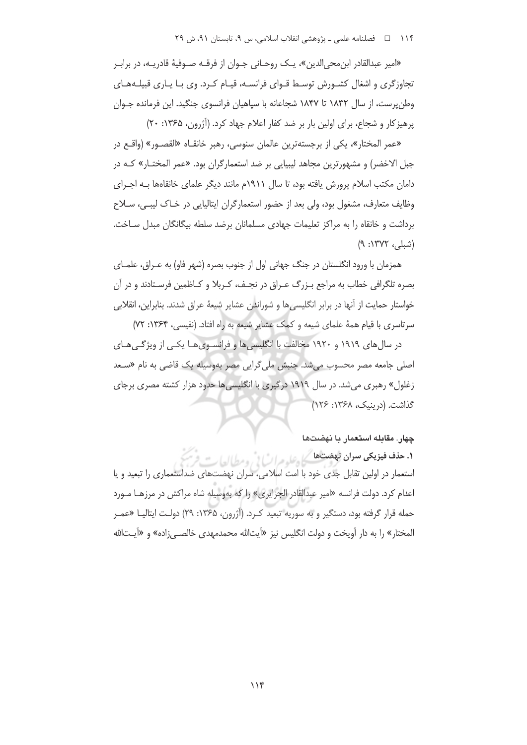«امير عبدالقادر ابن،محي الدين»، يـك روحـاني جـوان از فرقــه صــوفيهٔ قادريــه، در برابـر تجاوزگری و اشغال کشـورش توسـط قـوای فرانسـه، قیـام کـرد. وی بـا یـاری قبیلـههـای وطن پرست، از سال ۱۸۳۲ تا ۱۸۴۷ شجاعانه با سپاهیان فرانسوی جنگید. این فرمانده جـوان پرهیز کار و شجاع، برای اولین بار بر ضد کفار اعلام جهاد کرد. (آژرون، ۱۳۶۵: ۲۰)

«عمر المختار»، يكي از برجستهترين عالمان سنوسى، رهبر خانقـاه «القصـور» (واقـع در جبل الاخضر) و مشهورترین مجاهد لیبیایی بر ضد استعمارگران بود. «عمر المختـار» کـه در دامان مکتب اسلام پرورش یافته بود، تا سال ۱۹۱۱م مانند دیگر علمای خانقاهها بـه اجـرای وظایف متعارف، مشغول بود، ولی بعد از حضور استعمارگران ایتالیایی در خـاک لیبـی، سـلاح برداشت و خانقاه را به مراکز تعلیمات جهادی مسلمانان برضد سلطه بیگانگان مبدل سـاخت. (شبلی، ۱۳۷۲: ۹)

همزمان با ورود انگلستان در جنگ جهانی اول از جنوب بصره (شهر فاو) به عـراق، علمـای بصره تلگرافی خطاب به مراجع بـزرگ عـراق در نجـف، کـربلا و کـاظمین فرسـتادند و در آن خواستار حمايت از آنها در برابر انگليسے ها و شوراندن عشاير شيعهٔ عراق شدند. بنابراين، انقلابي سرتاسری با قیام همهٔ علمای شیعه و کمک عشایر شیعه به راه افتاد. (نفیسی، ۱۳۶۴: ۷۲)

در سال های ۱۹۱۹ و ۱۹۲۰ مخالفت با انگلیسی ها و فرانسـوی هـا یکـی از ویژگـی هـای اصلی جامعه مصر محسوب می شد. جنبش ملی گرایی مصر بهوسیله یک قاضی به نام «سـعد زغلول» رهبری می شد. در سال ۱۹۱۹ درگیری با انگلیسی ها حدود هزار کشته مصری برجای گذاشت. (درینیک، ۱۳۶۸: ۱۲۶)

#### چهار. مقابله استعمار با نهضتها

١. حذف فيزيكي سران فهضت ها كل عليه مراث في ومطالعا استعمار در اولین تقابل جدی خود با امت اسلامی، سران نهضتهای ضداستعماری را تبعید و یا اعدام کرد. دولت فرانسه «امیر عبدالقادر الجزایری» را که بهوسیله شاه مراکش در مرزهـا مـورد حمله قرار گرفته بود، دستگیر و به سوریه تبعید کـرد. (آژرون، ۱۳۶۵: ۲۹) دولـت ایتالیــا «عمـر المختار» را به دار آویخت و دولت انگلیس نیز «آیتالله محمدمهدی خالصه زاده» و «آیـتالله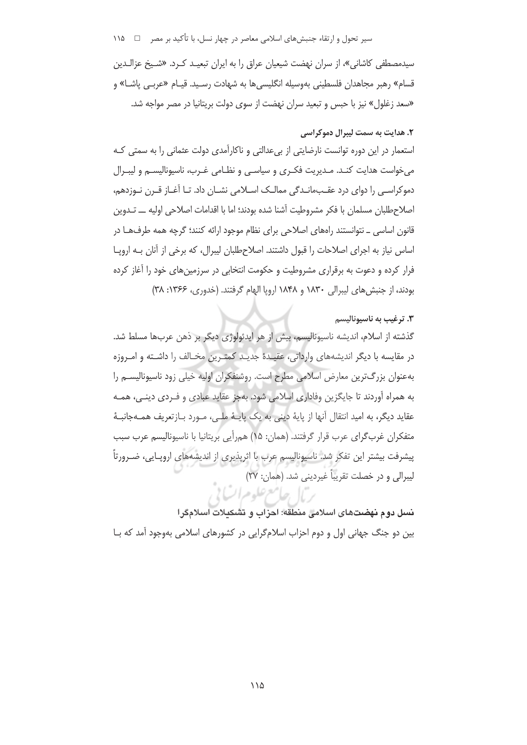## سیر تحول و ارتقاء جنبشهای اسلامی معاصر در چهار نسل، با تأکید بر مصر د سد ۱۱۵

سیدمصطفی کاشانی»، از سران نهضت شیعیان عراق را به ایران تبعیـد کـرد. «شــیخ عزالـدین قسام» رهبر مجاهدان فلسطینی بهوسیله انگلیسی ها به شهادت رسـید. قیـام «عربـی پاشـا» و «سعد زغلول» نیز با حبس و تبعید سران نهضت از سوی دولت بریتانیا در مصر مواجه شد.

# ٢. هدايت به سمت ليبرال دموكراسي استعمار در این دوره توانست نارضایتی از بی عدالتی و ناکارآمدی دولت عثمانی را به سمتی کـه می خواست هدایت کنـد. مـدیریت فکـری و سیاسـی و نظـامی غـرب، ناسیونالیسـم و لیبـرال دموکراسـی را دوای درد عقـبمانـدگی ممالـک اسـلامی نشـان داد. تـا آغـاز قـرن نـوزدهم، اصلاحطلبان مسلمان با فكر مشروطيت آشنا شده بودند؛ اما با اقدامات اصلاحی اولیه ـــ تــدوین قانون اساسی ــ نتوانستند راههای اصلاحی برای نظام موجود ارائه کنند؛ گرچه همه طرف ها در اساس نیاز به اجرای اصلاحات را قبول داشتند. اصلاحطلبان لیبرال، که برخی از آنان بـه اروپــا فرار کرده و دعوت به برقراری مشروطیت و حکومت انتخابی در سرزمین های خود را آغاز کرده بودند، از جنبش های لیبرالی ۱۸۳۰ و ۱۸۴۸ اروپا الهام گرفتند. (خدوری، ۱۳۶۶: ۳۸)

#### ۰۳ ترغيب به ناسيوناليسم

گذشته از اسلام، اندیشه ناسیونالیسم، بیش از هر ایدئولوژی دیگر بر ذهن عربها مسلط شد. در مقايسه با ديگر انديشههاي وارداتي، عقيـدۀ جديـد كمتـرين مخـالف را داشـته و امـروزه بهعنوان بزرگ ترین معارض اسلامی مطرح است. روشنفکران اولیه خیلی زود ناسیونالیسـم را به همراه آوردند تا جایگزین وفاداری اسلامی شود. بهجز عقاید عبادی و فـردی دینـی، همـه عقايد ديگر، به اميد انتقال آنها از پايهٔ ديني به يک پايـهٔ ملـي، مـورد بـازتعريف همـهجانبـهٔ متفكران غرب گراي عرب قرار گرفتند. (همان: ۱۵) همرأيي بريتانيا با ناسيوناليسم عرب سبب پیشرفت بیشتر این تفکر شد. ناسیونالیسم عرب با اثرپذیری از اندیشههای اروپـایی، ضـرورتاً ليبرالي و در خصلت تقريباً غيرديني شد. (همان: ٢٧) لصامع علوم اتسا في

نسل دوم نهضتهای اسلامی منطقه: احزاب و تشکیلات اسلامگرا بین دو جنگ جهانی اول و دوم احزاب اسلامگرایی در کشورهای اسلامی بهوجود آمد که بـا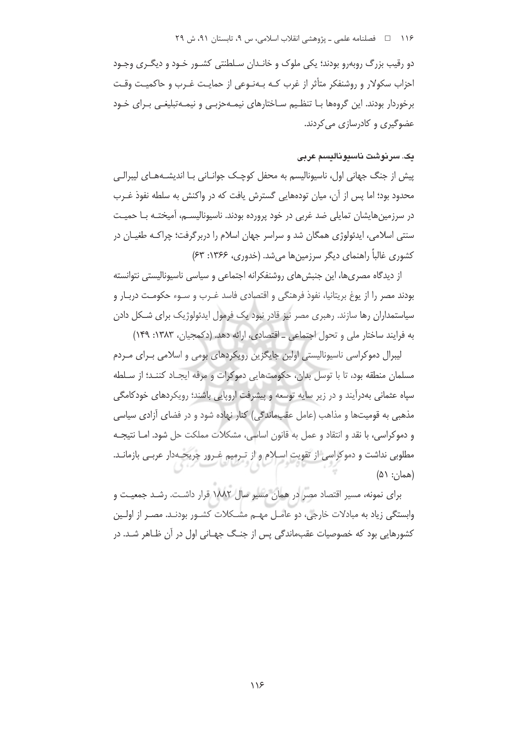دو رقیب بزرگ روبهرو بودند؛ یکی ملوک و خانـدان سـلطنتی کشـور خـود و دیگـری وجـود احزاب سکولار و روشنفکر متأثر از غرب کـه بـهنـوعی از حمایـت غـرب و حاکمیـت وقـت برخوردار بودند. این گروهها بـا تنظـیم سـاختارهای نیمـهحزبـی و نیمـهتبلیغـی بـرای خـود عضوگیری و کادرسازی می کردند.

#### يڪ سريوشت ناسيوناليسم عربي

پیش از جنگ جهانی اول، ناسیونالیسم به محفل کوچـک جوانــانی بــا اندیشــههــای لیبرالــی محدود بود؛ اما پس از آن، میان تودههایی گسترش یافت که در واکنش به سلطه نفوذ غـرب در سرزمین هایشان تمایلی ضد غربی در خود پرورده بودند. ناسیونالیســم، آمیختــه بــا حمیــت سنتی اسلامی، ایدئولوژی همگان شد و سراسر جهان اسلام را دربرگرفت؛ چراکـه طغیـان در کشوری غالباً راهنمای دیگر سرزمینها می شد. (خدوری، ۱۳۶۶: ۶۳)

از دیدگاه مصری ها، این جنبش های روشنفکرانه اجتماعی و سیاسی ناسپونالیستی نتوانسته بودند مصر را از يوغ بريتانيا، نفوذ فرهنگي و اقتصادي فاسد غـرب و سـوء حكومـت دربـار و سیاستمداران رها سازند. رهبری مصر نیز قادر نبود یک فرمول ایدئولوژیک برای شـکل دادن به فرایند ساختار ملی و تحول اجتماعی \_ اقتصادی، ارائه دهد. (دکمجیان، ۱۳۸۳: ۱۴۹)

لیبرال دموکراسی ناسیونالیستی اولین جایگزین رویکردهای بومی و اسلامی بـرای مـردم مسلمان منطقه بود، تا با توسل بدان، حکومتهایی دموکرات و مرفه ایجـاد کننـد؛ از سـلطه سپاه عثمانی بهدرآیند و در زیر سایه توسعه و پیشرفت اروپایی باشند؛ رویکردهای خودکامگی مذهبی به قومیتها و مذاهب (عامل عقبِماندگی) کنار نهاده شود و در فضای آزادی سیاسی و دموکراسی، با نقد و انتقاد و عمل به قانون اساسی، مشکلات مملکت حل شود. امـا نتیجـه مطلوبی نداشت و دموکراسی از تقویت اسلام و از تـرمیم غـرور جریحـهدار عربـی بازمانـد.  $(\Delta \setminus :_{\iota} \Delta)$ 

برای نمونه، مسیر اقتصاد مصر در همان مسیر سال ۱۸۸۲ قرار داشت. رشد جمعیت و وابستگی زیاد به مبادلات خارجی، دو عامـل مهـم مشـكلات كشـور بودنـد. مصـر از اولـين کشورهایی بود که خصوصیات عقبماندگی پس از جنگ جهـانی اول در آن ظـاهر شـد. در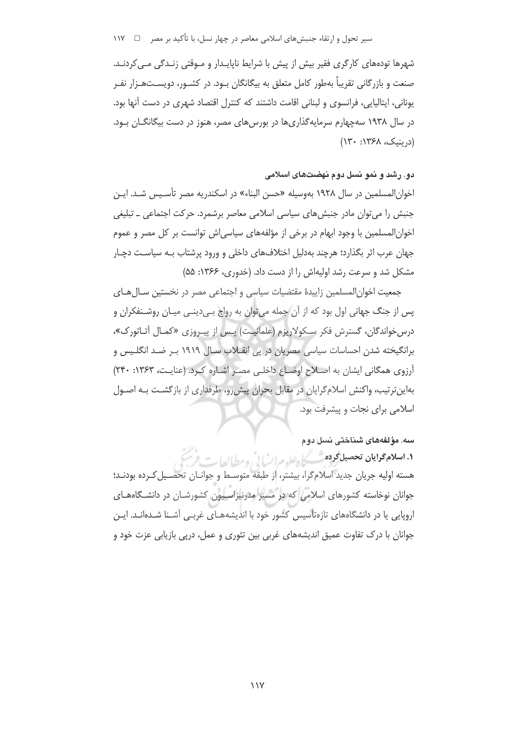شهرها تودههای کارگری فقیر بیش از پیش با شرایط ناپایـدار و مـوقتی زنـدگی مـی کردنـد. صنعت و بازرگانی تقریباً بهطور کامل متعلق به بیگانگان بـود. در کشــور، دویســتـهــزار نفــر یونانی، ایتالیایی، فرانسوی و لبنانی اقامت داشتند که کنترل اقتصاد شهری در دست آنها بود. در سال ۱۹۳۸ سهچهارم سرمایهگذاریها در بورسهای مصر، هنوز در دست بیگانگــان بــود. (دربنيک، ۱۳۶۸: ۱۳۰)

#### دو. رشد و نمو نسل دوم نهضتهای اسلامی

اخوان المسلمین در سال ۱۹۲۸ بهوسیله «حسن البناء» در اسکندریه مصر تأسیس شد. ایـن جنبش را می توان مادر جنبش های سیاسی اسلامی معاصر برشمرد. حرکت اجتماعی ــ تبلیغی اخوانِ المسلمین با وجود ابهام در برخی از مؤلفههای سیاسی اش توانست بر کل مصر و عموم جهان عرب اثر بگذارد؛ هرچند بهدلیل اختلافهای داخلی و ورود پرشتاب بـه سیاسـت دچـار مشکل شد و سرعت رشد اولیهاش را از دست داد. (خدوری، ۱۳۶۶: ۵۵)

جمعیت اخوانالمسلمین زاییدهٔ مقتضیات سیاسی و اجتماعی مصر در نخستین سـالهـای پس از جنگ جهانی اول بود که از آن جمله می توان به رواج بـیدینـی میـان روشـنفکران و درس خواندگان، گسترش فكر سكولاريزم (علمانيت) پس از پيروزي «كمال آتاتورك»، برانگیخته شدن احساسات سیاسی مصریان در پی انقـلاب سـال ۱۹۱۹ بـر ضـد انگلـیس و آرزوی همگانی ایشان به اصلاح اوضاع داخلی مصر اشاره کرد. (عنایت، ۱۳۶۳: ۲۴۰) بهاینترتیب، واکنش اسلامگرایان در مقابل بحران پیش رو، طرفداری از بازگشت بـه اصـول اسلامی برای نجات و پیشرفت بود.

سە. مۇلغەھاي شىناختى نسل دوم **۱. اسلام محوایان تحصیل کوده** شکسکاه علومرا <sup>مثل ب</sup>ی ومطالعا ر هسته اولیه جریان جدید اسلامگرا، بیشتر، از طبقه متوسـط و جوانـان تحصـیل کـرده بودنـد؛ .<br>جوانان نوخاسته کشورهای اسلامی که در مسیر مدرنیزاسـیون کشورشـان در دانشـگاههـای اروپایی یا در دانشگاههای تازهتأسیس کشور خود با اندیشههـای غربـی آشـنا شـدهانـد. ایـن جوانان با درک تفاوت عمیق اندیشههای غربی بین تئوری و عمل، درپی بازیابی عزت خود و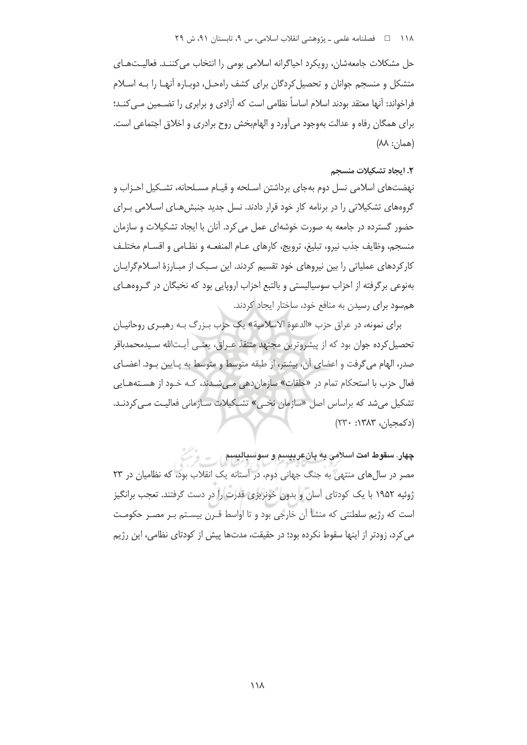حل مشکلات جامعهشان، رویکرد احیاگرانه اسلامی بومی را انتخاب می کننـد. فعالیـتهـای متشکل و منسجم جوانان و تحصیل کردگان برای کشف راهحـل، دوبـاره آنهـا را بـه اسـلام فراخواند: آنها معتقد بودند اسلام اساساً نظامی است که آزادی و برابری را تضــمین مــی کنــد؛ برای همگان رفاه و عدالت بهوجود می آورد و الهام بخش روح برادری و اخلاق اجتماعی است.  $(A\Lambda$ : (هما $\cdot$ 

#### 2. ایجاد تشکیلات منسجم

نهضتهای اسلامی نسل دوم بهجای برداشتن اسـلحه و قیـام مسـلحانه، تشـکیل احـزاب و گروههای تشکیلاتی را در برنامه کار خود قرار دادند. نسل جدید جنبش هـای اسـلامی بـرای حضور گسترده در جامعه به صورت خوشهای عمل می کرد. آنان با ایجاد تشکیلات و سازمان منسجم، وظايف جذب نيرو، تبليغ، ترويج، كارهاى عــام المنفعــه و نظــامى و اقســام مختلـف کارکردهای عملیاتی را بین نیروهای خود تقسیم کردند. این سـبک از مبـارزهٔ اسـلامگرایـان بهنوعی برگرفته از احزاب سوسیالیستی و بالتبع احزاب اروپایی بود که نخبگان در گـروههـای همسود برای رسیدن به منافع خود، ساختار ایجاد کردند.

براي نمونه، در عراق حزب «الدعوة الإسلامية» يک حزب پـزرگ پـه رهيـري روحانيـان تحصیل کرده جوان بود که از پیشروترین مجتهد متنفذ عـراق، یعنـی آیـتالله سـیدمحمدباقر صدر، الهام مي گرفت و اعضاي آن، بيشتر، از طبقه متوسط و متوسط به پـايين بـود. اعضـاي فعال حزب با استحکام تمام در «حلقات» سازمان دهی مے شـدند، کـه خـود از هسـتههـایی تشکیل می شد که براساس اصل «سازمان نخبی» تشـکیلات سـازمانی فعالیـت مـی کردنـد. (دکمجيان، ١٣٨٣: ٢٣٠)

چهار. سقوط امت اسلامي به پانعربيسم و سوسياليسم

مصر در سال های منتهی به جنگ جهانی دوم، در آستانه یک انقلاب بود، که نظامیان در ۲۳ ژوئیه ۱۹۵۲ با یک کودتای آسان و بدون خونریزی قدرت را در دست گرفتند. تعجب برانگیز است که رژیم سلطنتی که منشأ آن خارجی بود و تا اواسط قـرن بیسـتم بـر مصـر حکومـت می کرد، زودتر از اینها سقوط نکرده بود؛ در حقیقت، مدتها پیش از کودتای نظامی، این رژیم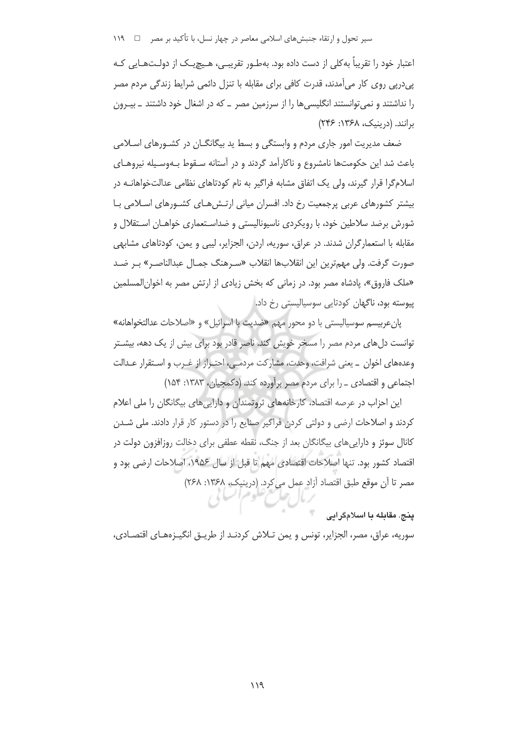سیر تحول و ارتقاء جنبشهای اسلامی معاصر در چهار نسل، با تأکید بر مصر ⊥ ۱۱۹

اعتبار خود را تقریباً به کلی از دست داده بود. بهطـور تقریبـی، هـیچیـک از دولـتهـایی کـه یے،درپی روی کار می آمدند، قدرت کافی برای مقابله با تنزل دائمی شرایط زندگی مردم مصر را نداشتند و نمی توانستند انگلیسی ها را از سرزمین مصر \_ که در اشغال خود داشتند \_ بیـرون برانند. (دربنیک، ۱۳۶۸: ۲۴۶)

ضعف مدیریت امور جاری مردم و وابستگی و بسط ید بیگانگــان در کشــورهای اســلامی باعث شد این حکومتها نامشروع و ناکارآمد گردند و در آستانه سـقوط بـهوسـیله نیروهـای اسلامگرا قرار گیرند، ولی یک اتفاق مشابه فراگیر به نام کودتاهای نظامی عدالتخواهانـه در بیشتر کشورهای عربی پرجمعیت رخ داد. افسران میانی ارتـش۵عـای کشـورهای اسـلامی بـا شورش برضد سلاطین خود، با رویکردی ناسیونالیستی و ضداسـتعماری خواهـان اسـتقلال و مقابله با استعمارگران شدند. در عراق، سوریه، اردن، الجزایر، لیبی و یمن، کودتاهای مشابهی صورت گرفت. ولي مهمترين اين انقلابها انقلاب «سـرهنگ جمـال عبدالناصـر» بـر ضـد «ملک فاروق»، پادشاه مصر بود. در زمانی که بخش زیادی از ارتش مصر به اخوان|لمسلمین پیوسته بود، ناگهان کودتایی سوسیالیستی رخ داد.

پان عربیسم سوسیالیستی با دو محور مهم «ضدیت با اسرائیل» و «اصلاحات عدالتخواهانه» توانست دل های مردم مصر را مسخر خویش کند. ناصر قادر بود برای بیش از یک دهه، بیشـتر وعدههای اخوان \_ یعنی شرافت، وحدت، مشارکت مردمے ، احتـراز از غـرب و اسـتقرار عـدالت اجتماعی و اقتصادی ـ را برای مردم مصر برآورده کند. (دکمجیان، ۱۳۸۳: ۱۵۴)

این احزاب در عرصه اقتصاد، کارخانههای ثروتمندان و دارایی های بیگانگان را ملی اعلام کردند و اصلاحات ارضی و دولتی کردن فراگیر صنایع را در دستور کار قرار دادند. ملی شدن کانال سوئز و دارایی های بیگانگان بعد از جنگ، نقطه عطفی برای دخالت روزافزون دولت در اقتصاد كشور بود. تنها اصلاحات اقتصادي مهم تا قبل از سال ۱۹۵۶، اصلاحات ارضي بود و مصر تا آن موقع طبق اقتصاد آزاد عمل می کرد. (درینیک، ۱۳۶۸: ۲۶۸)

پنج. مقابله با اسلامگرایی

سوریه، عراق، مصر، الجزایر، تونس و یمن تـلاش کردنـد از طریــق انگیـزههـای اقتصــادی،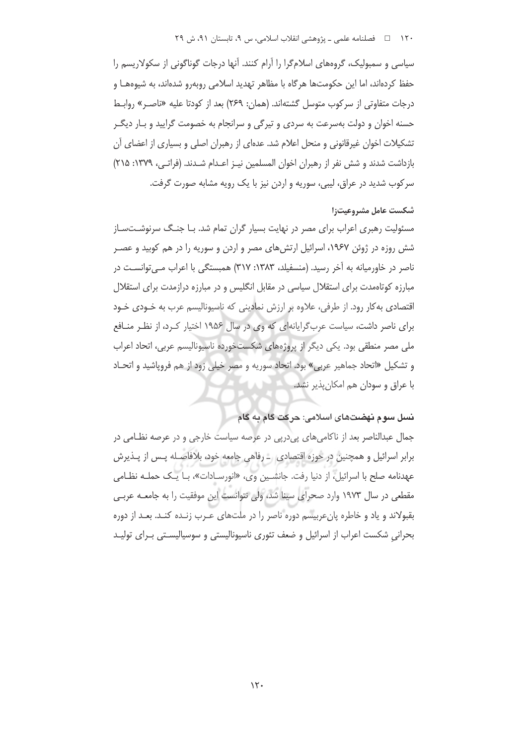سیاسی و سمبولیک، گروههای اسلامگرا را آرام کنند. آنها درجات گوناگونی از سکولاریسم را حفظ کردهاند، اما این حکومتها هرگاه با مظاهر تهدید اسلامی روبهرو شدهاند، به شیوههـا و درجات متفاوتي از سركوب متوسل گشتهاند. (همان: ٢۶٩) بعد از كودتا عليه «ناصـر» روابـط حسنه اخوان و دولت بهسرعت به سردی و تیرگی و سرانجام به خصومت گرایید و بـار دیگـر تشکیلات اخوان غیرقانونی و منحل اعلام شد. عدهای از رهبران اصلی و بسیاری از اعضای آن بازداشت شدند و شش نفر از رهبران اخوان المسلمین نیـز اعـدام شـدند. (فراتـی، ۱۳۷۹: ۲۱۵) سرکوب شدید در عراق، لیبی، سوریه و اردن نیز با یک رویه مشابه صورت گرفت.

#### شكست عامل مشروعيت: ا

مسئولیت رهبری اعراب برای مصر در نهایت بسیار گران تمام شد. بـا جنـگ سرنوشـتسـاز شش روزه در ژوئن ۱۹۶۷، اسرائیل ارتش های مصر و اردن و سوریه را در هم کوبید و عصـر ناصر در خاورمیانه به آخر رسید. (منسفیلد، ۱۳۸۳: ۳۱۷) همبستگی با اعراب مے توانسـت در مبارزه کوتاهمدت برای استقلال سیاسی در مقابل انگلیس و در مبارزه درازمدت برای استقلال اقتصادی به کار رود. از طرفی، علاوه بر ارزش نمادینی که ناسپونالیسم عرب به خـودی خـود برای ناصر داشت، سیاست عرب گرایانهای که وی در سال ۱۹۵۶ اختیار کرد، از نظر منافع ملی مصر منطقی بود. یکی دیگر از پروژههای شکستخورده ناسپونالیسم عربی، اتحاد اعراب و تشکیل «اتحاد جماهیر عربی» بود. اتحاد سوریه و مصر خیلی زود از هم فروپاشید و اتحـاد با عراق و سودان هم امکان پذیر نشد.

## نسل سوم نهضتهای اسلامی: حرکت گام به گام

جمال عبدالناصر بعد از ناکامیهای پیدرپی در عرصه سیاست خارجی و در عرصه نظامی در برابر اسرائیل و همچنین در حوزه اقتصادی \_ رفاهی جامعه خود، بلافاصـله پـس از پـذیرش عهدنامه صلح با اسرائيل، از دنيا رفت. جانشـين وي، «انورسـادات»، بـا يـك حملـه نظـامي مقطعی در سال ۱۹۷۳ وارد صحرای سینا شد، ولی نتوانست این موفقیت را به جامعـه عربـی بقبولاند و یاد و خاطره پانءربیسم دوره ناصر را در ملتهای عـرب زنـده کنـد. بعـد از دوره بحرانی شکست اعراب از اسرائیل و ضعف تئوری ناسپونالیستی و سوسیالیسـتی بـرای تولیـد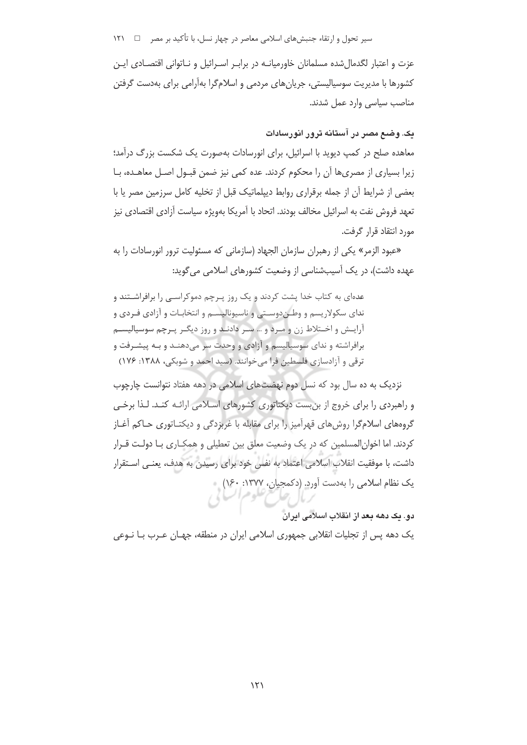سیر تحول و ارتقاء جنبشهای اسلامی معاصر در چهار نسل، با تأکید بر مصر ⊥ 1۲۱

عزت و اعتبار لگدمال شده مسلمانان خاورمیانـه در برابـر اسـرائیل و نــاتوانی اقتصــادی ایــن کشورها با مدیریت سوسیالیستی، جریانهای مردمی و اسلامگرا بهآرامی برای بهدست گرفتن مناصب سیاسی وارد عمل شدند.

## یک. وضع مصر در آستانه ترور انورسادات

معاهده صلح در کمپ دیوید با اسرائیل، برای انورسادات بهصورت یک شکست بزرگ درآمد؛ زیرا بسیاری از مصریها آن را محکوم کردند. عده کمی نیز ضمن قبـول اصـل معاهـده، بـا بعضی از شرایط آن از جمله برقراری روابط دیپلماتیک قبل از تخلیه کامل سرزمین مصر یا با تعهد فروش نفت به اسرائیل مخالف بودند. اتحاد با آمریکا بهویژه سیاست آزادی اقتصادی نیز مورد انتقاد قرار گرفت.

«عبود الزمر» یکی از رهبران سازمان الجهاد (سازمانی که مسئولیت ترور انورسادات را به عهده داشت)، در یک آسیبشناسی از وضعیت کشورهای اسلامی می گوید:

عدهای به کتاب خدا پشت کردند و یک روز پـرچم دموکراسـی را برافراشــتند و ندای سکولاریسم و وطـندوسـتی و ناسیونالیسـم و انتخابـات و آزادی فـردی و آرایـش و اخـتلاط زن و مـرد و … سـر دادنـد و روز دیگـر پـرچم سوسیالیسـم برافراشته و ندای سوسیالیسم و آزادی و وحدت سر می دهنـد و بـه پیشـرفت و ترقی و آزادسازی فلسطین فرا میخوانند. (سید احمد و شوبکی، ۱۳۸۸: ۱۷۶)

نزدیک به ده سال بود که نسل دوم نهضتهای اسلامی در دهه هفتاد نتوانست چارچوب و راهبردی را برای خروج از بن بست دیکتاتوری کشورهای اسلامی ارائـه کنـد. لـذا برخـی گروههای اسلامگرا روشهای قهرآمیز را برای مقابله با غربزدگی و دیکتـاتوری حـاکم آغـاز کردند. اما اخوان|لمسلمین که در یک وضعیت معلق بین تعطیلی و همکـاری بـا دولـت قـرار داشت، با موفقیت انقلاب اسلامی اعتماد به نفس خود برای رسیدن به هدف، یعنـی اسـتقرار یک نظام اسلامی را بهدست آورد. (دکمجیان، ۱۳۷۷: ۱۶۰)

دو. یک دهه بعد از انقلاب اسلامی ایران

یک دهه پس از تجلیات انقلابی جمهوری اسلامی ایران در منطقه، جهـان عـرب بـا نــوعی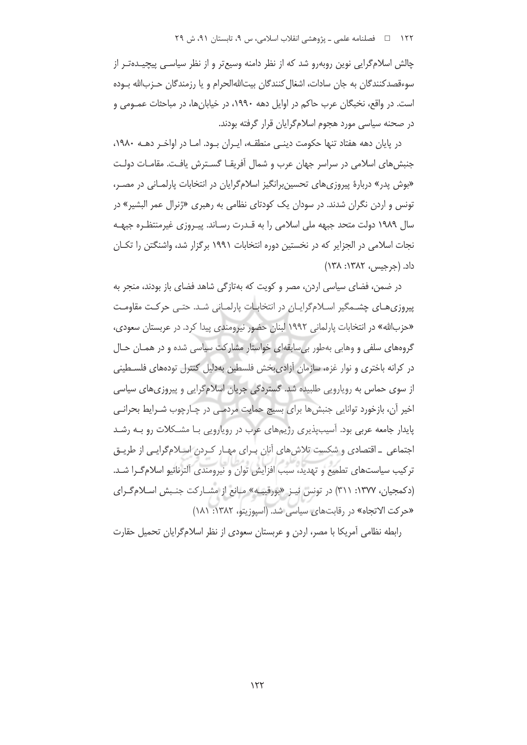چالش اسلامگرایی نوین روبهرو شد که از نظر دامنه وسیعتر و از نظر سیاسـی پیچیـدهتـر از سوءقصدکنندگان به جان سادات، اشغال کنندگان بیتاللهالحرام و یا رزمندگان حـزبالله بـوده است. در واقع، نخبگان عرب حاکم در اوایل دهه ۱۹۹۰، در خیابان ها، در مباحثات عمـومی و در صحنه سیاسی مورد هجوم اسلامگرایان قرار گرفته بودند.

در پایان دهه هفتاد تنها حکومت دینـی منطقـه، ایـران بـود. امـا در اواخـر دهـه ۱۹۸۰، جنبش های اسلامی در سراسر جهان عرب و شمال آفریقـا گسـترش یافـت. مقامـات دولـت «بوش پدر» دربارهٔ پیروزیهای تحسین برانگیز اسلامگرایان در انتخابات پارلمانی در مصر، تونس و اردن نگران شدند. در سودان یک کودتای نظامی به رهبری «ژنرال عمر البشیر» در سال ۱۹۸۹ دولت متحد جبهه ملی اسلامی را به قـدرت رسـاند. پیـروزی غیرمنتظـره جبهـه نجات اسلامی در الجزایر که در نخستین دوره انتخابات ۱۹۹۱ برگزار شد، واشنگتن را تکـان داد. (جرجيس، ١٣٨٢: ١٣٨)

در ضمن، فضای سیاسی اردن، مصر و کویت که بهتازگی شاهد فضای باز بودند، منجر به پیروزی های چشـمگیر اسـلامگرایـان در انتخابـات پارلمـانی شـد. حتـی حرکـت مقاومـت «حزبالله» در انتخابات پارلمانی ۱۹۹۲ لبنان حضور نیرومندی پیدا کرد. در عربستان سعودی، گروههای سلفی و وهابی بهطور بی سابقهای خواستار مشارکت سیاسی شده و در همـان حـال در کرانه باختری و نوار غزه، سازمان آزادی بخش فلسطین بهدلیل کنترل تودههای فلسـطینی از سوی حماس به روپارویی طلبیده شد. گستردگی جریان اسلام گرایی و پیروزی های سیاسی اخیر آن، بازخورد توانایی جنبشها برای بسیج حمایت مردمـی در چـارچوب شـرایط بحرانـی پایدار جامعه عربی بود. آسیبپذیری رژیمهای عرب در رویارویی با مشکلات رو بـه رشـد اجتماعی ۔اقتصادی و شکست تلاش های آنان پیرای مهیار کیردن اسپلام گرایبی از طریبق تركيب سياستهاي تطميع و تهديد، سبب افزايش توان و نيرومندي آلترناتيو اسلام گـرا شـد. (دکمجیان، ۱۳۷۷: ۳۱۱) در تونس نیز «بورقیبه» مانع از مشـارکت جنـبش اسـلامگـرای «حركت الاتجاه» در رقابتهاى سياسى شد. (اسپوزيتو، ١٣٨٢: ١٨١)

رابطه نظامی آمریکا با مصر، اردن و عربستان سعودی از نظر اسلامگرایان تحمیل حقارت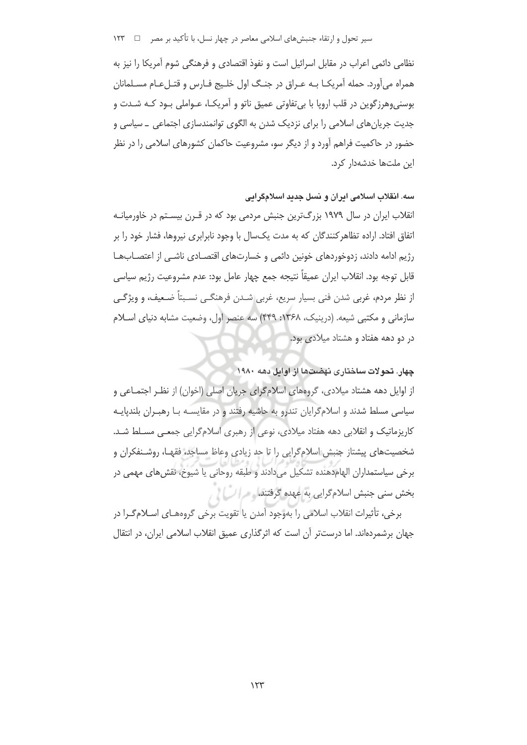سیر تحول و ارتقاء جنبشهای اسلامی معاصر در چهار نسل، با تأکید بر مصر ⊥ 1۳۳

نظامی دائمی اعراب در مقابل اسرائیل است و نفوذ اقتصادی و فرهنگی شوم آمریکا را نیز به همراه می آورد. حمله آمریکـا بـه عـراق در جنـگ اول خلـیج فـارس و قتـلءـام مسـلمانان بوسني وهرزگوين در قلب اروپا با بي تفاوتي عميق ناتو و آمريکـا، عــواملي بــود کــه شــدت و جدیت جریان های اسلامی را برای نزدیک شدن به الگوی توانمندسازی اجتماعی ــ سیاسی و حضور در حاکمیت فراهم آورد و از دیگر سو، مشروعیت حاکمان کشورهای اسلامی را در نظر این ملتها خدشهدار کرد.

سه. انقلاب اسلامی ایران و نسل جدید اسلامگرایی

انقلاب ایران در سال ۱۹۷۹ بزرگترین جنبش مردمی بود که در قـرن بیسـتم در خاورمیانـه اتفاق افتاد. اراده تظاهر کنندگان که به مدت یکسال با وجود نابرابری نیروها، فشار خود را بر رژیم ادامه دادند، زدوخوردهای خونین دائمی و خسارتهای اقتصـادی ناشـی از اعتصـابهـا قابل توجه بود. انقلاب ايران عميقاً نتيجه جمع چهار عامل بود: عدم مشروعيت رژيم سياسي از نظر مردم، غربي شدن فني بسيار سريع، غربي شـدن فرهنگـي نسـبتاً ضـعيف، و ويژگـي سازمانی و مکتبی شیعه. (درینیک، ۱۳۶۸: ۴۴۹) سه عنصر اول، وضعیت مشابه دنیای اسلام در دو دهه هفتاد و هشتاد میلادی بود.

چهار. تحولات ساختاری نهضتها از اوایل دهه ۱۹۸۰

از اوایل دهه هشتاد میلادی، گروههای اسلامگرای جریان اصلی (اخوان) از نظـر اجتمـاعی و سیاسی مسلط شدند و اسلامگرایان تندرو به حاشیه رفتند و در مقایسـه بـا رهبـران بلندیایـه کاریزماتیک و انقلابی دهه هفتاد میلادی، نوعی از رهبری اسلامگرایی جمعـی مسـلط شـد. شخصیتهای پیشتاز جنبش اسلامگرایی را تا حد زیادی وعاظ مساجد، فقهـا، روشـنفکران و برخي سياستمداران الهام دهنده تشكيل مي دادند و طبقه روحاني يا شيوخ، نقش هاي مهمي در بخش سنی جنبش اسلامگرایی به عهده گرفتند. محرا اسلام

برخي، تأثيرات انقلاب اسلامي را بهوجود آمدن يا تقويت برخي گروههـاي اسـلام گـرا در جهان برشمردهاند. اما درستتر آن است که اثرگذاری عمیق انقلاب اسلامی ایران، در انتقال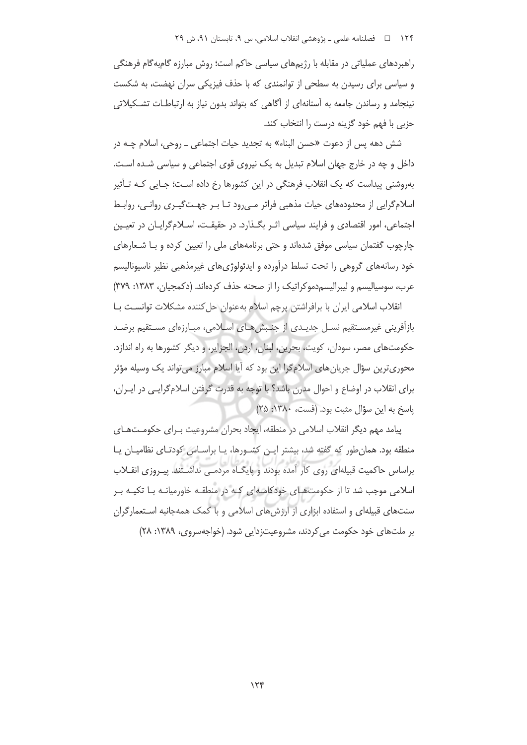راهبردهای عملیاتی در مقابله با رژیمهای سیاسی حاکم است؛ روش مبارزه گامبهگام فرهنگی و سیاسی برای رسیدن به سطحی از توانمندی که با حذف فیزیکی سران نهضت، به شکست نینجامد و رساندن جامعه به آستانهای از آگاهی که بتواند بدون نیاز به ارتباطـات تشـکیلاتی حزبی با فهم خود گزینه درست را انتخاب کند.

شش دهه پس از دعوت «حسن البناء» به تجدید حیات اجتماعی ـ روحی، اسلام چـه در داخل و چه در خارج جهان اسلام تبدیل به یک نیروی قوی اجتماعی و سیاسی شـده اسـت. بهروشنی پیداست که یک انقلاب فرهنگی در این کشورها رخ داده است؛ جـایی کـه تـأثیر اسلام گرایی از محدودههای حیات مذهبی فراتر مبی رود تـا بـر جهـت گیـری روانـی، روابـط اجتماعی، امور اقتصادی و فرایند سیاسی اثـر بگـذارد. در حقیقـت، اسـلام5رایـان در تعیـین چارچوب گفتمان سیاسی موفق شدهاند و حتی برنامههای ملی را تعیین کرده و بـا شـعارهای خود رسانههای گروهی را تحت تسلط درآورده و ایدئولوژیهای غیرمذهبی نظیر ناسیونالیسم عرب، سوسیالیسم و لیبرالیسم دموکراتیک را از صحنه حذف کردهاند. (دکمجیان، ۱۳۸۳: ۳۷۹)

انقلاب اسلامی ایران با برافراشتن پرچم اسلام بهعنوان حل کننده مشکلات توانسـت بـا بازآفرینی غیرمستقیم نسـل جدیـدی از جنـبش هـای اسـلامی، مبـارزهای مسـتقیم برضـد حکومتهای مصر، سودان، کویت، بحرین، لبنان، اردن، الجزایر، و دیگر کشورها به راه اندازد. محوریترین سؤال جریان های اسلامگرا این بود که آیا اسلام مبارز می تواند یک وسیله مؤثر برای انقلاب در اوضاع و احوال مدرن باشد؟ با توجه به قدرت گرفتن اسلامگرایبی در ایـران، پاسخ به این سؤال مثبت بود. (فست، ١٣٨٠: ٢۵)

پیامد مهم دیگر انقلاب اسلامی در منطقه، ایجاد بحران مشروعیت بـرای حکومـتهـای منطقه بود. همان طور که گفته شد، بیشتر ایـن کشـورها، یـا براسـاس کودتـای نظامیـان یـا براساس حاکمیت قبیلهای روی کار آمده بودند و پایگـاه مردمـی نداشـتند. پیـروزی انقــلاب اسلامی موجب شد تا از حکومتهای خودکامهای کـه در منطقـه خاورمیانـه بـا تکیـه بـر سنتهای قبیلهای و استفاده ابزاری از ارزش های اسلامی و با کمک همهجانبه استعمارگران بر ملتهای خود حکومت می کردند، مشروعیتزدایی شود. (خواجهسروی، ۱۳۸۹: ۲۸)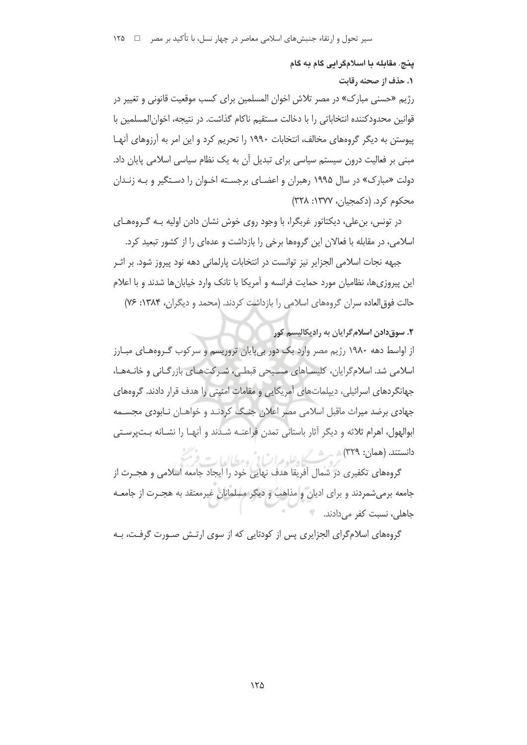# پنج. مقابله با اسلامگرایی گام به گام

۱. حذف از صحنه رقابت

رژیم «حسنی مبارک» در مصر تلاش اخوان المسلمین برای کسب موقعیت قانونی و تغییر در قوانین محدودکننده انتخاباتی را با دخالت مستقیم ناکام گذاشت. در نتیجه، اخوان|لمسلمین با پیوستن به دیگر گروههای مخالف، انتخابات ۱۹۹۰ را تحریم کرد و این امر به آرزوهای آنهـا مبنی بر فعالیت درون سیستم سیاسی برای تبدیل آن به یک نظام سیاسی اسلامی پایان داد. دولت «مبارک» در سال ۱۹۹۵ رهبران و اعضـای برجسـته اخـوان را دسـتگیر و بـه زنـدان محکوم کرد. (دکمجیان، ۱۳۷۷: ۳۲۸)

در تونس، بن علی، دیکتاتور غربگرا، با وجود روی خوش نشان دادن اولیه بـه گـروههـای اسلامی، در مقابله با فعالان این گروهها برخی را بازداشت و عدهای را از کشور تبعید کرد.

جبهه نجات اسلامی الجزایر نیز توانست در انتخابات پارلمانی دهه نود پیروز شود. بر اثـر این پیروزیها، نظامیان مورد حمایت فرانسه و آمریکا با تانک وارد خیابانها شدند و با اعلام حالت فوق العاده سران گروههای اسلامی را بازداشت کردند. (محمد و دیگران، ۱۳۸۴: ۷۶)

#### ٢. سوق دادن اسلام گرايان به راديکاليسم کور

از اواسط دهه ۱۹۸۰ رژیم مصر وارد یک دور بی پایان تروریسم و سرکوب گـروههـای مبـارز اسلامی شد. اسلام گرایان، کلیسـاهای مسـیحی قبطـی، شـرکتهـای بازرگـانی و خانـههـا، جهانگردهای اسرائیلی، دیپلماتهای آمریکایی و مقامات امنیتی را هدف قرار دادند. گروههای جهادی برضد میراث ماقبل اسلامی مصر اعلان جنگ کردنـد و خواهـان نـابودی مجسـمه ابوالهول، اهرام ثلاثه و ديگر آثار باستاني تمدن فراعنـه شـدند و آنهـا را نشـانه بـتپرسـتي دانستند. (هعان: ٣٢٩) شهر شکر اوعلومرا سالی و مطالعات

گروههای تکفیری در شمال آفریقا هدف نهایی خود را ایجاد جامعه اسلامی و هجـرت از جامعه برمیشمردند و برای ادیان و مذاهب و دیگر مسلمانان غیرمعتقد به هجـرت از جامعــه جاهلی، نسب*ت* کفر می دادند.

گروههای اسلامگرای الجزایری پس از کودتایی که از سوی ارتـش صـورت گرفـت، بـه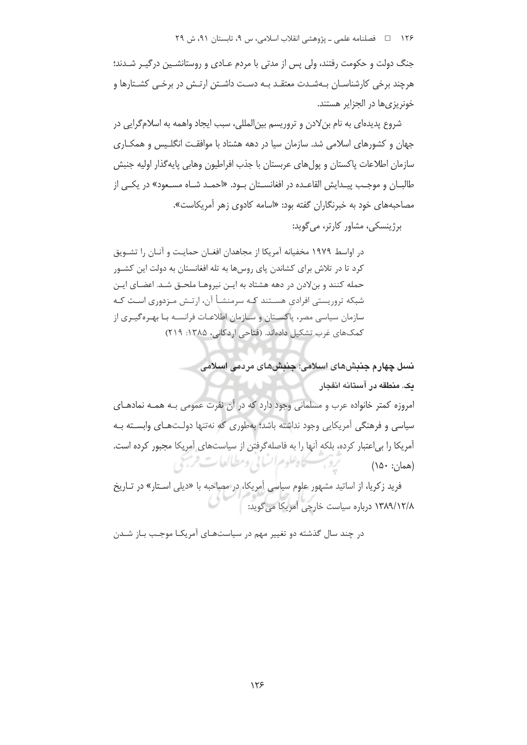جنگ دولت و حکومت رفتند، ولی پس از مدتی با مردم عـادی و روستانشـین درگیـر شـدند؛ هرچند برخی کارشناسـان بـهشـدت معتقـد بـه دسـت داشـتن ارتـش در برخـی کشـتارها و خونریزی ها در الحزایر هستند.

شروع پدیدهای به نام بن لادن و تروریسم بین|لمللی، سبب ایجاد واهمه به اسلامگرایی در جهان و کشورهای اسلامی شد. سازمان سیا در دهه هشتاد با موافقت انگلیس و همکـاری سازمان اطلاعات پاکستان و پول های عربستان با جذب افراطیون وهابی پایه گذار اولیه جنبش طالبـان و موجـب پيـدايش القاعـده در افغانسـتان بـود. «احمـد شـاه مسـعود» در يكـي از مصاحبههای خود به خبرنگاران گفته بود: «اسامه کادوی زهر آمریکاست».

برژینسکی، مشاور کارتر، می گوید:

در اواسط ۱۹۷۹ مخفیانه آمریکا از مجاهدان افغـان حمایـت و آنـان را تشـویق کرد تا در تلاش برای کشاندن پای روسها به تله افغانستان به دولت این کشـور حمله کنند و بنلادن در دهه هشتاد به ایـن نیروهـا ملحـق شـد. اعضـای ایـن شبکه تروریستی افرادی هسـتند کـه سرمنشـأ آن، ارتـش مـزدوری اسـت کـه سازمان سیاسی مصر، پاکستان و سـازمان اطلاعـات فرانسـه بـا بهـرهگیـری از کمکهای غرب تشکیل دادهاند. (فتاحی اردکانی، ۱۳۸۵: ۲۱۹)

> نسل چهارم جننشهای اسلامی: جننشهای مردمی اسلامی يك. منطقه در آستانه انفجار

امروزه کمتر خانواده عرب و مسلمانی وجود دارد که در آن نفرت عمومی بـه همـه نمادهـای سیاسی و فرهنگی آمریکایی وجود نداشته باشد؛ بهطوری که نهتنها دولتهای وابسته بـه آمریکا را بی اعتبار کرده، بلکه آنها را به فاصلهگرفتن از سیاستهای آمریکا مجبور کرده است. تروبب كاهلوم انساني ومطالعات فرنبحي (همان: ۱۵۰)

فرید زکریا، از اساتید مشهور علوم سیاسی آمریکا، در مصاحبه با «دیلی استار» در تـاریخ ۱۳۸۹/۱۲/۸ درباره سیاست خارجی آمریکا می گوید:

در چند سال گذشته دو تغییر مهم در سیاستهای آمریکا موجب باز شدن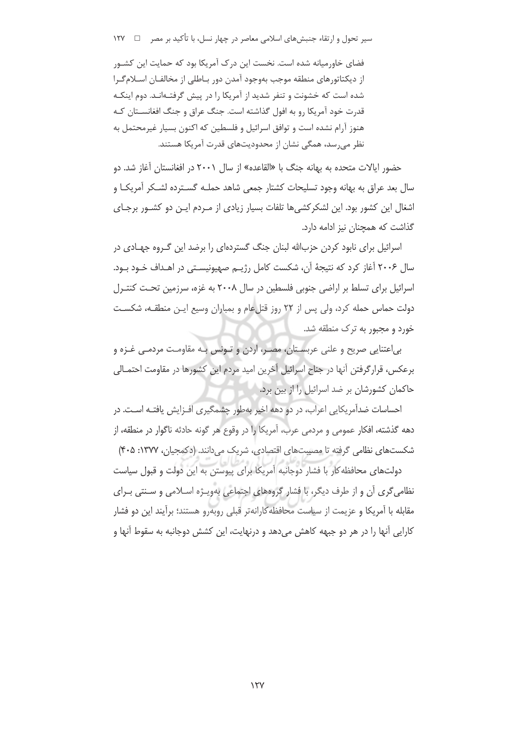سیر تحول و ارتقاء جنبشهای اسلامی معاصر در چهار نسل، با تأکید بر مصر د د د ۱۲۷

فضای خاورمیانه شده است. نخست این درک آمریکا بود که حمایت این کشـور از دیکتاتورهای منطقه موجب بهوجود آمدن دور بـاطلی از مخالفـان اسـلام گـرا شده است که خشونت و تنفر شدید از آمریکا را در پیش گرفتـهانـد. دوم اینکـه قدرت خود آمریکا رو به افول گذاشته است. جنگ عراق و جنگ افغانسـتان کـه هنوز آرام نشده است و توافق اسرائیل و فلسطین که اکنون بسیار غیرمحتمل به نظر میرسد، همگی نشان از محدودیتهای قدرت آمریکا هستند.

حضور ایالات متحده به بهانه جنگ با «القاعده» از سال ۲۰۰۱ در افغانستان آغاز شد. دو سال بعد عراق به بهانه وجود تسليحات كشتار جمعي شاهد حملـه گسـترده لشـكر أمريكـا و اشغال این کشور بود. این لشکرکشی ها تلفات بسیار زیادی از مـردم ایـن دو کشـور برجـای گذاشت که همچنان نیز ادامه دارد.

اسرائیل برای نابود کردن حزبالله لبنان جنگ گستردهای را برضد این گـروه جهـادی در سال ۲۰۰۶ آغاز کرد که نتیجهٔ آن، شکست کامل رژیــم صهیونیســتی در اهــداف خــود بــود. اسرائیل برای تسلط بر اراضی جنوبی فلسطین در سال ۲۰۰۸ به غزه، سرزمین تحـت کنتـرل دولت حماس حمله كرد، ولي پس از ٢٢ روز قتلعام و بمباران وسيع ايـن منطقـه، شكسـت خورد و مجبور به ترک منطقه شد.

بی|عتنایی صریح و علنی عربسـتان، مصـر، اردن و تـونس بـه مقاومـت مردمـی غـزه و برعکس، قرارگرفتن آنها در جناح اسرائیل آخرین امید مردم این کشورها در مقاومت احتمـالی حاکمان کشورشان بر ضد اسرائیل را از بین برد.

احساسات ضدآمریکایی اعراب، در دو دهه اخیر بهطور چشمگیری افـزایش یافتـه اسـت. در دهه گذشته، افكار عمومي و مردمي عرب، آمريكا را در وقوع هر گونه حادثه ناگوار در منطقه، از شکستهای نظامی گرفته تا مصیبتهای اقتصادی، شریک می دانند. (دکمحیان، ۱۳۷۷: ۴۰۵)

دولتهای محافظه کار با فشار دوجانبه آمریکا برای پیوستن به این دولت و قبول سیاست نظامی گری آن و از طرف دیگر، با فشار گروههای اجتماعی بهویـژه اسـلامی و سـنتی بـرای مقابله با آمریکا و عزیمت از سیاست محافظه کارانهتر قبلی روبهرو هستند؛ برآیند این دو فشار کارایی آنها را در هر دو جبهه کاهش میدهد و درنهایت، این کشش دوجانبه به سقوط آنها و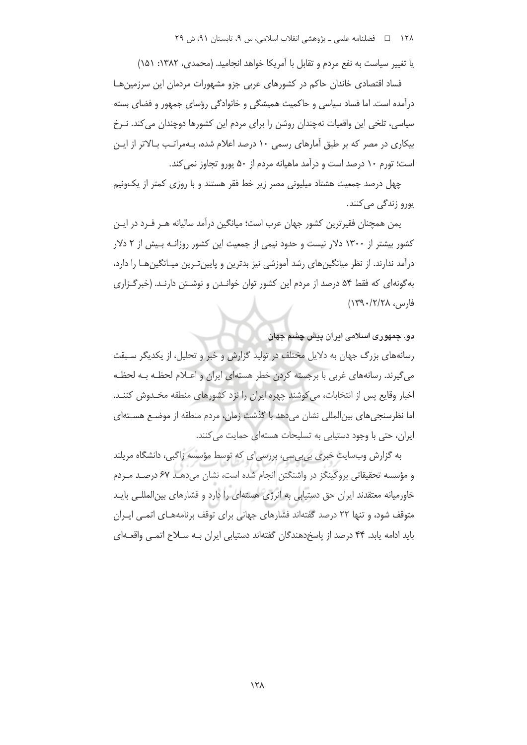یا تغییر سیاست به نفع مردم و تقابل با آمریکا خواهد انجامید. (محمدی، ۱۳۸۲: ۱۵۱)

فساد اقتصادی خاندان حاکم در کشورهای عربی جزو مشهورات مردمان این سرزمین هـا درآمده است. اما فساد سیاسی و حاکمیت همیشگی و خانوادگی رؤسای جمهور و فضای بسته سیاسی، تلخی این واقعیات نهچندان روشن را برای مردم این کشورها دوچندان می کند. نـرخ بیکاری در مصر که بر طبق آمارهای رسمی ۱۰ درصد اعلام شده، بـهمراتـب بـالاتر از ایـن است؛ تورم ١٠ درصد است و درآمد ماهيانه مردم از ۵۰ پورو تجاوز نمي كند.

چهل درصد جمعیت هشتاد میلیونی مصر زیر خط فقر هستند و با روزی کمتر از یکونیم يورو زندگي ميكنند.

یمن همچنان فقیرترین کشور جهان عرب است؛ میانگین درآمد سالیانه هـر فـرد در ایـن کشور بیشتر از ۱۳۰۰ دلار نیست و حدود نیمی از جمعیت این کشور روزانـه بـیش از ۲ دلار درآمد ندارند. از نظر میانگینهای رشد آموزشی نیز بدترین و پایین تـرین میـانگینهـا را دارد، به گونهای که فقط ۵۴ درصد از مردم این کشور توان خوانـدن و نوشـتن دارنـد. (خبر گـزاری فارس، ١٣٩٠/٢/٢٨)

#### دو. جمهوری اسلامی ایران پیش چشم جهان

رسانههای بزرگ جهان به دلایل مختلف در تولید گزارش و خبر و تحلیل، از یکدیگر سـبقت می گیرند. رسانههای غربی با برجسته کردن خطر هستهای ایران و اعبلام لحظـه بـه لحظـه اخبار وقایع پس از انتخابات، می کوشند چهره ایران را نزد کشورهای منطقه مخـدوش کننـد. اما نظرسنجی های بین المللی نشان می دهد با گذشت زمان، مردم منطقه از موضـع هسـتهای ایران، حتی با وجود دستیابی به تسلیحات هستهای حمایت می کنند.

به گزارش وبسایت خبری بی.بی.س، بررسی|ی که توسط مؤسسه زاگبی، دانشگاه مریلند و مؤسسه تحقیقاتی بروکینگز در واشنگتن انجام شده است، نشان میدهـد ۶۷ درصـد مـردم خاورمیانه معتقدند ایران حق دستیابی به انرژی هستهای را دارد و فشارهای بین المللـی بایـد متوقف شود، و تنها ٢٢ درصد گفتهاند فشارهای جهانی برای توقف برنامههای اتمی ایران باید ادامه یابد. ۴۴ درصد از پاسخدهندگان گفتهاند دستیابی ایران بـه سـلاح اتمـی واقعـهای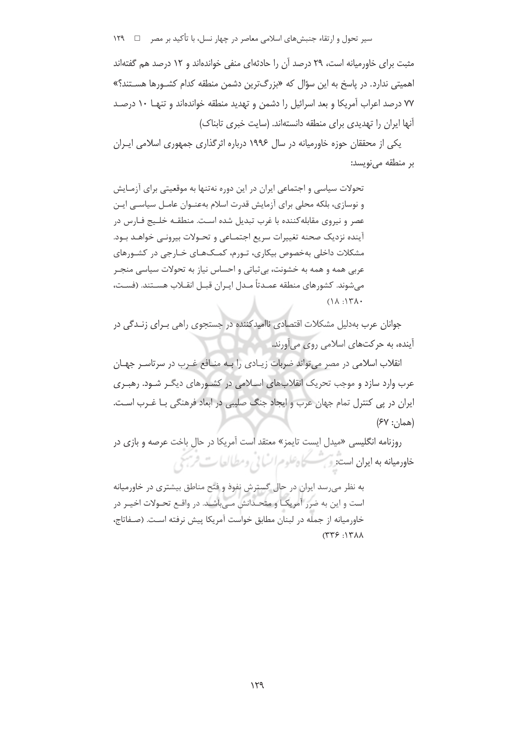سیر تحول و ارتقاء جنبشهای اسلامی معاصر در چهار نسل، با تأکید بر مصر ها ١٢٩

مثبت برای خاورمیانه است، ۲۹ درصد آن را حادثهای منفی خواندهاند و ۱۲ درصد هم گفتهاند اهمیتی ندارد. در پاسخ به این سؤال که «بزرگترین دشمن منطقه کدام کشـورها هسـتند؟» ۷۷ درصد اعراب آمریکا و بعد اسرائیل را دشمن و تهدید منطقه خواندهاند و تنهـا ۱۰ درصـد آنها ایران را تهدیدی برای منطقه دانستهاند. (سایت خبری تابناک)

یکی از محققان جوزه خاورمیانه در سال ۱۹۹۶ درباره اثرگذاری جمهوری اسلامی ایـران بر منطقه می نویسد:

تحولات سیاسی و اجتماعی ایران در این دوره نهتنها به موقعیتی برای آزمـایش و نوسازی، بلکه محلی برای آزمایش قدرت اسلام بهعنـوان عامـل سیاسـی ایـن عصر و نیروی مقابلهکننده با غرب تبدیل شده است. منطقـه خلـیج فـارس در آینده نزدیک صحنه تغییرات سریع اجتمـاعی و تحـولات بیرونـی خواهـد بـود. مشکلات داخلی بهخصوص بیکاری، تـورم، کمـکـهـای خـارجی در کشـورهای عربی همه و همه به خشونت، بی ثباتی و احساس نیاز به تحولات سیاسی منجـر می شوند. کشورهای منطقه عمـدتاً مـدل ایـران قبـل انقـلاب هسـتند. (فسـت،  $(\lambda \wedge \cdot)$   $\forall \lambda \cdot$ 

جوانان عرب بهدلیل مشکلات اقتصادی ناامیدکننده در جستحوی راهی پیرای زنیدگی در آینده، به حرکتهای اسلامی روی میآورند.

انقلاب اسلامی در مصر می تواند ضربات زیـادی را بـه منـافع غـرب در سرتاسـر جهـان عرب وارد سازد و موجب تحریک انقلابهای اسپلامی در کشـورهای دیگـر شـود. رهبـری ایران در پی کنترل تمام جهان عرب و ایجاد جنگ صلیبی در ابعاد فرهنگی بـا غـرب اسـت.  $(FV:U)$ همان:

روزنامه انگلیسی «میدل ایست تایمز» معتقد است آمریکا در حال باخت عرصه و بازی در خادرمیانه به ایران است و سطح اعلوم انسانی ومطالعات فرسی

به نظر می رسد ایران در حال گسترش نفوذ و فتح مناطق بیشتری در خاورمیانه است و این به ضرر آمریکـا و متحـدانش مــ باشــد. در واقــع تحـولات اخیــر در خاورمیانه از جمله در لبنان مطابق خواست آمریکا پیش نرفته است. (صفاتاج،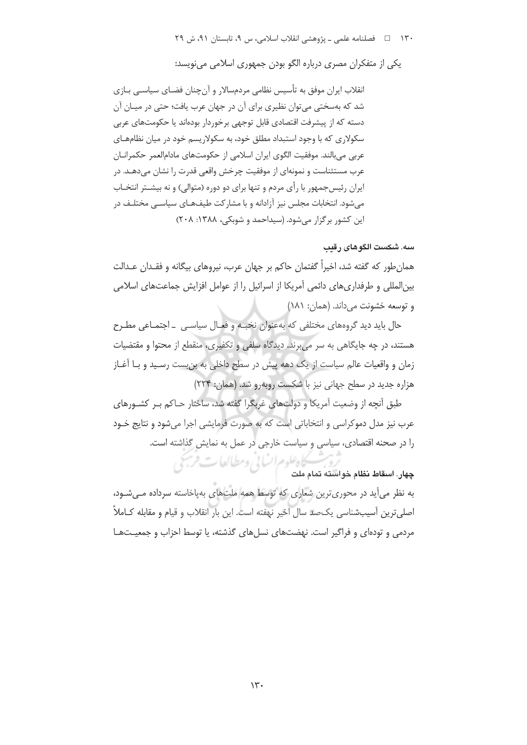یکی از متفکران مصری دربارہ الگو بودن جمهوری اسلامی می نویسد:

انقلاب ایران موفق به تأسیس نظامی مردمسالار و آنچنان فضـای سیاســی بـازی شد که بهسختی می توان نظیری برای آن در جهان عرب یافت؛ حتی در میـان آن دسته که از پیشرفت اقتصادی قابل توجهی برخوردار بودهاند یا حکومتهای عربی سکولاری که با وجود استبداد مطلق خود، به سکولاریسم خود در میان نظامهـای عربي مي بالند. موفقيت الگوي ايران اسلامي از حکومتهاي مادامالعمر حکمرانــان عرب مستثناست و نمونهای از موفقیت چرخش واقعی قدرت را نشان میدهـد. در ایران رئیسجمهور با رأی مردم و تنها برای دو دوره (متوالی) و نه بیشــتر انتخــاب میشود. انتخابات مجلس نیز آزادانه و با مشارکت طیفهـای سیاسـی مختلـف در این کشور بر گزار می شود. (سیداحمد و شوبکی، ۱۳۸۸: ۲۰۸)

#### سه. شکست الگوهای رقب

همان طور که گفته شد، اخیراً گفتمان حاکم بر جهان عرب، نیروهای بیگانه و فقـدان عـدالت بین|لمللی و طرفداریهای دائمی آمریکا از اسرائیل را از عوامل افزایش جماعتهای اسلامی و توسعه خشونت مي داند. (همان: ١٨١)

حال باید دید گروههای مختلفی که بهعنوان نخبـه و فعـال سیاسـی \_ اجتمـاعی مطـرح هستند، در چه جایگاهی به سر می برند. دیدگاه سلفی و تکفیری، منقطع از محتوا و مقتضیات زمان و واقعیات عالم سیاست از یک دهه پیش در سطح داخلی به بنبست رسـید و بـا آغـاز هزاره جدید در سطح جهانی نیز با شکست روبهرو شد. (همان: ۲۲۴)

طبق أنچه از وضعیت آمریکا و دولتهای غریگرا گفته شد، ساختار حـاکم پـر کشـورهای عرب نيز مدل دموکراسي و انتخاباتي است که به صورت فرمايشي اجرا مي شود و نتايج خـود را در صحنه اقتصادی، سیاسی و سیاست خارجی در عمل به نمایش گذاشته است.

كاه علوم السابي ومطالعات فرسخي چهار. اسقاط نظام خواسته تمام ملت

به نظر می آید در محوری ترین شعاری که توسط همه ملتهای بهپاخاسته سرداده می شود، اصلي ترين آسيبشناسي يک\_د سال اخير نهفته است. اين بار انقلاب و قيام و مقابله کــاملاً مردمی و تودهای و فراگیر است. نهضتهای نسلهای گذشته، یا توسط احزاب و جمعیـتهـا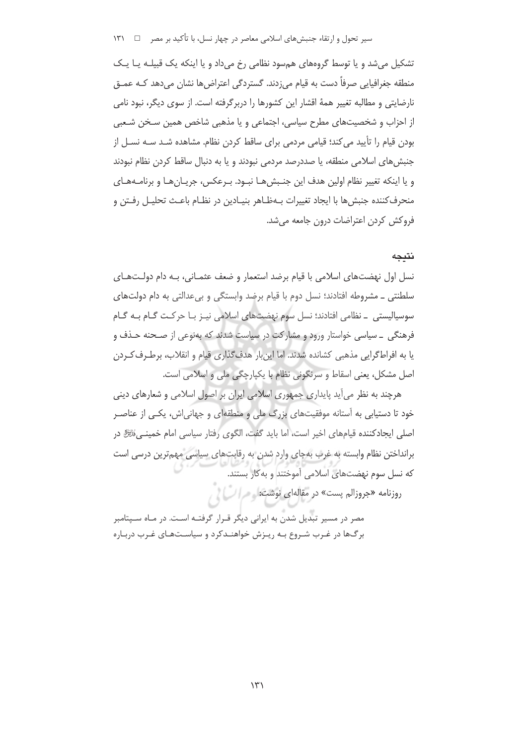تشکیل می شد و یا توسط گروههای هم سود نظامی رخ می داد و یا اینکه یک قبیلـه یـا یـک منطقه جغرافیایی صرفاً دست به قیام میزدند. گستردگی اعتراضها نشان میدهد کـه عمـق نارضایتی و مطالبه تغییر همهٔ اقشار این کشورها را دربرگرفته است. از سوی دیگر، نبود نامی از احزاب و شخصیتهای مطرح سیاسی، اجتماعی و یا مذهبی شاخص همین سـخن شـعبی بودن قيام را تأييد مي كند؛ قيامي مردمي براي ساقط كردن نظام. مشاهده شـد سـه نسـل از جنبش های اسلامی منطقه، یا صددرصد مردمی نبودند و یا به دنبال ساقط کردن نظام نبودند و یا اینکه تغییر نظام اولین هدف این جنبش هـا نبـود. بـرعکس، جریـان هـا و برنامـههـای منحرفکننده جنبشها با ایجاد تغییرات بـهظـاهر بنیـادین در نظـام باعـث تحلیـل رفـتن و فروکش کردن اعتراضات درون جامعه می شد.

#### نتيجه

نسل اول نهضتهای اسلامی با قیام برضد استعمار و ضعف عثمـانی، بـه دام دولـتهـای سلطنتي \_ مشروطه افتادند؛ نسل دوم با قيام برضد وابستگي و بيءدالتي به دام دولتهاي سوسیالیستی ۔ نظامی افتادند؛ نسل سوم نهضتهای اسلامی نیـز بـا حرکـت گـام بـه گـام فرهنگی \_ سیاسی خواستار ورود و مشارکت در سیاست شدند که بهنوعی از صـحنه حـذف و یا به افراطگرایی مذهبی کشانده شدند. اما این بار هدف گذاری قیام و انقلاب، برطـرف کـردن اصل مشکل، یعنی اسقاط و سرنگونی نظام با یکپارچگی ملی و اسلامی است.

هرچند به نظر می آید پایداری جمهوری اسلامی ایران بر اصول اسلامی و شعارهای دینی خود تا دستیابی به آستانه موفقیتهای بزرگ ملی و منطقهای و جهانی|ش، یکبی از عناصـر اصلی ایجادکننده قیامهای اخیر است، اما باید گفت، الگوی رفتار سیاسی امام خمینی،نَتَرَّهُ در برانداختن نظام وابسته به غرب بهجای وارد شدن به رقابتهای سیاسی مهمترین درسی است که نسل سوم نهضتهای اسلامی آموختند و به کار بستند.

روزنامه «جروزالم پست» در مقالهای نوشت: مصر السام

مصر در مسیر تبدیل شدن به ایرانی دیگر قـرار گرفتـه اسـت. در مـاه سـپتامبر برگها در غـرب شـروع بـه ريـزش خواهنـدكرد و سياسـتهـاى غـرب دربـاره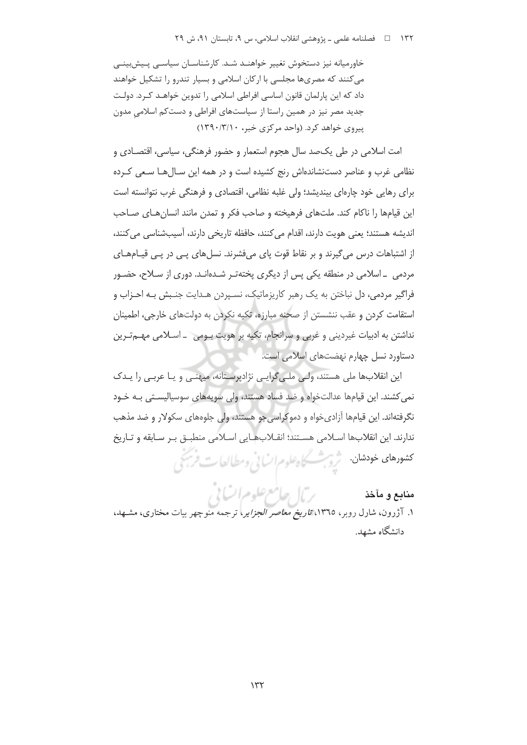خاورمیانه نیز دستخوش تغییر خواهنـد شـد. کارشناسـان سیاسـی پـیش;بینـی می کنند که مصریها مجلسی با ارکان اسلامی و بسیار تندرو را تشکیل خواهند داد که این پارلمان قانون اساسی افراطی اسلامی را تدوین خواهـد کـرد. دولـت جدید مصر نیز در همین راستا از سیاستهای افراطی و دستکم اسلامی مدون پیروی خواهد کرد. (واحد مرکزی خبر، ۱۳۹۰/۳/۱۰)

امت اسلامي در طي يک\_مد سال هجوم استعمار و حضور فرهنگي، سياسي، اقتصـادي و نظامی غرب و عناصر دستنشاندهاش رنج کشیده است و در همه این سـالهـا سـعی کـرده برای رهایی خود چارهای بیندیشد؛ ولی غلبه نظامی، اقتصادی و فرهنگی غرب نتوانسته است این قیامها را ناکام کند. ملتهای فرهیخته و صاحب فکر و تمدن مانند انسان هـای صـاحب اندیشه هستند؛ یعنی هویت دارند، اقدام می کنند، حافظه تاریخی دارند، آسیبشناسی می کنند، از اشتباهات درس می گیرند و بر نقاط قوت پای میفشرند. نسلهای پـی در پـی قیـامهـای مردمی \_اسلامی در منطقه یکی پس از دیگری پختهتـر شـدهانـد. دوری از سـلاح، حضـور فراگير مردمي، دل نباختن به يک رهبر کاريزماتيک، نسـيردن هـدايت جنـبش بـه احـزاب و استقامت کردن و عقب ننشستن از صحنه مبارزه، تکبه نکردن به دولتهای خارجی، اطمینان نداشتن به ادبیات غیردینی و غربی و سرانجام، تکیه بر هویت بـومی \_ اسـلامی مهـم تـرین دستاورد نسل چهارم نهضتهای اسلامی است.

این انقلابها ملی هستند، ولی ملی گرایی نژادپرستانه، میهنـی و یـا عربـی را یـدک نمی کشند. این قیامها عدالتخواه و ضد فساد هستند، ولی سویههای سوسیالیستی بـه خـود نگرفتهاند. این قیامها آزادی خواه و دموکراسی جو هستند، ولی جلوههای سکولار و ضد مذهب ندارند. این انقلابها اسلامی هستند؛ انقلابهایی اسلامی منطبق بر سابقه و تاریخ كشودهاي خودهان بمشرش كاه *علوم السائي ومط*العات فريجي

منابع و مآخذ

م**نابع و مآخذ**<br>۱. آژرون، شارل روبر، ۱۳٦٥*، تاریخ معاصر الجزایر*، ترجمه منوچهر بیات مختاری، مشـهد، دانشگاه مشهد.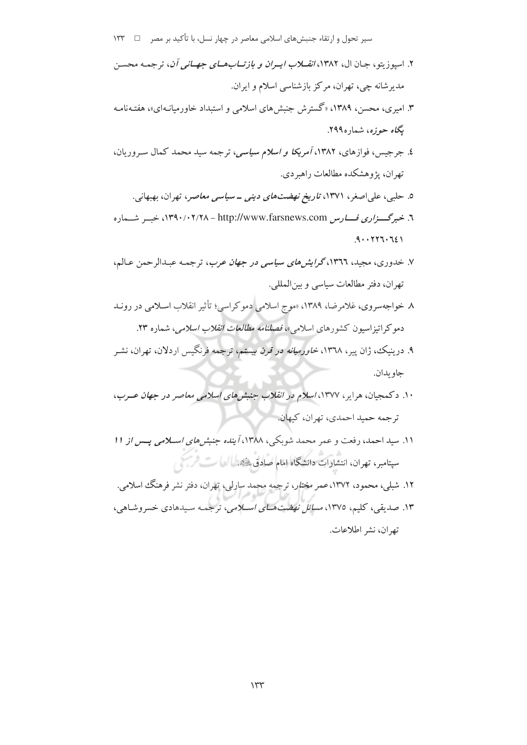- ۲. اسپو زیتو، جـان ال، ۱۳۸۲، *انقــلاب ایــران و بازتــابـهــای جهــانی آن*، ترجمـه محسـن مدیرشانه چی، تهران، مرکز بازشناسی اسلام و ایران.
- ۳. امیری، محسن، ۱۳۸۹، «گسترش جنبشهای اسلامی و استبداد خاورمیانـهای»، هفتـهنامـه یگاه حوزه، شماره۲۹۹.
- ٤. جرجیس، فوازهای، ١٣٨٢، *آمریکا و اسلام سیاسی*، ترجمه سید محمد کمال سـ وریان، تهران، پژوهشکده مطالعات راهیردی.
	- ۵. حلببی، علیاصغر، ۱۳۷۱، *تاریخ نهضتهای دینی ــ سیاسی معاصر*، تهران، بهبهانی.
- ٦. خبرگستزاری فسارس http://www.farsnews.com ١٣٩٠/٠٢/٢٨ خسير شسهاره  $.9.1777.721$
- ۷. خدوری، مجید، ۱۳۶۲،گرایشهای سیاسی در جهان عرب، ترجمه عبدالرحمن عـالم، تهران، دفتر مطالعات سياسي وبين المللي.
- ٨. خواجهسروي، غلامرضا، ١٣٨٩، «موج اسلامي دمو كراسي؛ تأثير انقلاب اسلامي در رونيد دموکر اتیزاسیون کشورهای اسلام<sub>ی</sub>»، *فصلنامه مطالعات انقلاب اسلامی*، شماره ۲۳.
- ۹. درینیک، ژان پیر، ۱۳٦۸، *خاورمیانه در قرن بیستم*، ترجمه فرنگیس اردلان، تهران، نشـر جاو بدان.
- ۱۰. دکمجیان، هرایر، ۱۳۷۷، *اسلام در انقلاب جنبش های اسلامی معاصر در جهان عــرب*، ترجمه حميد احمدي، تهران، كيهان.
- ١١. سيد احمد، رفعت و عمر محمد شويكي، ١٣٨٨، آينده جنبش *هاي استلامي* يس*س از ١١* سپتامبر، تهران، انتشارات دانشگاه امام صادق، لگند العلمی است است
- ۱۲. شبلې، محمود، ۱۳۷۲، *عمر مختار*، ترجمه محمد سارلې، تهران، دفتر نشر فرهنگ اسلامي. ۱۳. صدیقی، کلیم، ۱۳۷۵، *مسائل نهضت هـای اســلامی*، ترجمـه سـیدهادی خسروشـاهی، تهران، نشر اطلاعات.